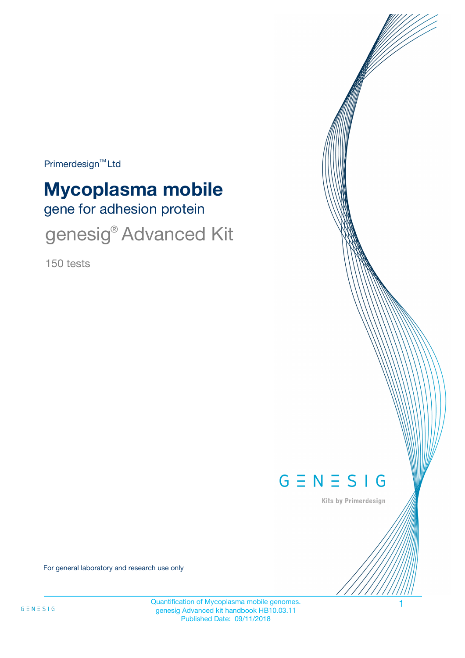Primerdesign<sup>™</sup>Ltd

# gene for adhesion protein **Mycoplasma mobile**

genesig® Advanced Kit

150 tests



Kits by Primerdesign

For general laboratory and research use only

Quantification of Mycoplasma mobile genomes. genesig Advanced kit handbook HB10.03.11 Published Date: 09/11/2018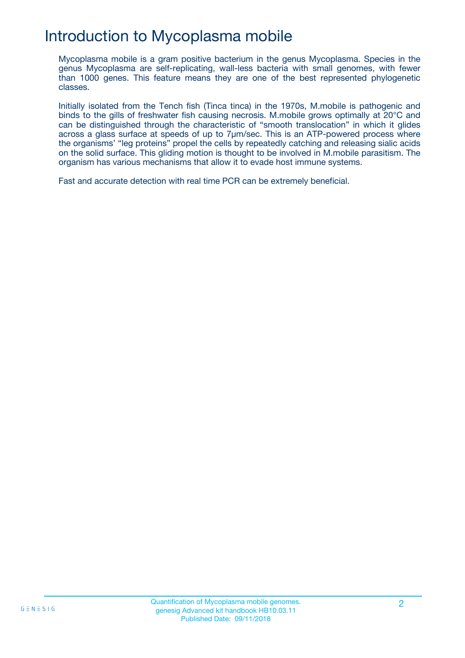## Introduction to Mycoplasma mobile

Mycoplasma mobile is a gram positive bacterium in the genus Mycoplasma. Species in the genus Mycoplasma are self-replicating, wall-less bacteria with small genomes, with fewer than 1000 genes. This feature means they are one of the best represented phylogenetic classes.

Initially isolated from the Tench fish (Tinca tinca) in the 1970s, M.mobile is pathogenic and binds to the gills of freshwater fish causing necrosis. M.mobile grows optimally at 20°C and can be distinguished through the characteristic of "smooth translocation" in which it glides across a glass surface at speeds of up to 7μm/sec. This is an ATP-powered process where the organisms' "leg proteins" propel the cells by repeatedly catching and releasing sialic acids on the solid surface. This gliding motion is thought to be involved in M.mobile parasitism. The organism has various mechanisms that allow it to evade host immune systems.

Fast and accurate detection with real time PCR can be extremely beneficial.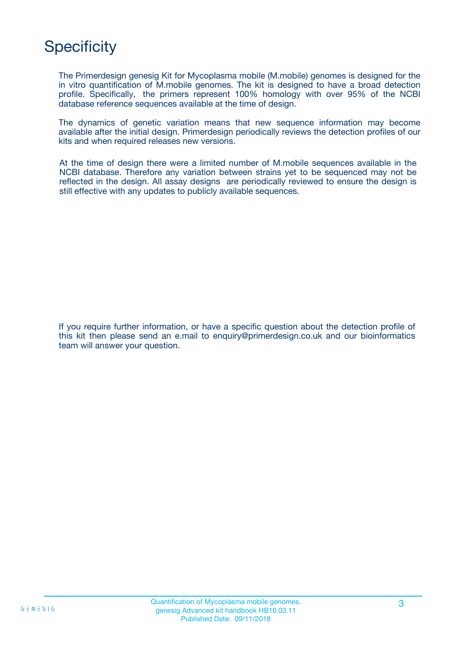## **Specificity**

The Primerdesign genesig Kit for Mycoplasma mobile (M.mobile) genomes is designed for the in vitro quantification of M.mobile genomes. The kit is designed to have a broad detection profile. Specifically, the primers represent 100% homology with over 95% of the NCBI database reference sequences available at the time of design.

The dynamics of genetic variation means that new sequence information may become available after the initial design. Primerdesign periodically reviews the detection profiles of our kits and when required releases new versions.

At the time of design there were a limited number of M.mobile sequences available in the NCBI database. Therefore any variation between strains yet to be sequenced may not be reflected in the design. All assay designs are periodically reviewed to ensure the design is still effective with any updates to publicly available sequences.

If you require further information, or have a specific question about the detection profile of this kit then please send an e.mail to enquiry@primerdesign.co.uk and our bioinformatics team will answer your question.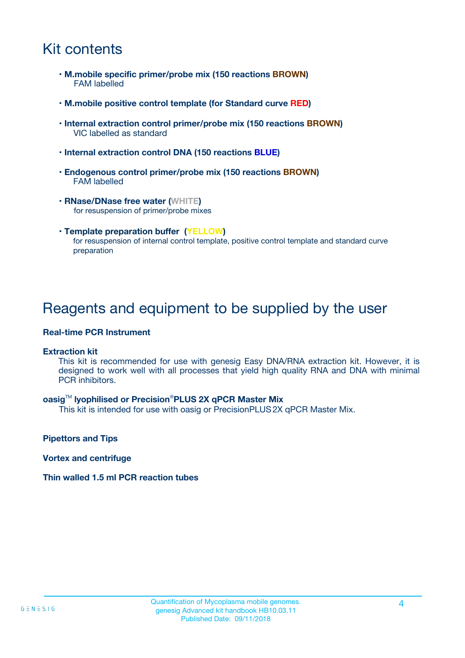## Kit contents

- **M.mobile specific primer/probe mix (150 reactions BROWN)** FAM labelled
- **M.mobile positive control template (for Standard curve RED)**
- **Internal extraction control primer/probe mix (150 reactions BROWN)** VIC labelled as standard
- **Internal extraction control DNA (150 reactions BLUE)**
- **Endogenous control primer/probe mix (150 reactions BROWN)** FAM labelled
- **RNase/DNase free water (WHITE)** for resuspension of primer/probe mixes
- **Template preparation buffer (YELLOW)** for resuspension of internal control template, positive control template and standard curve preparation

### Reagents and equipment to be supplied by the user

#### **Real-time PCR Instrument**

#### **Extraction kit**

This kit is recommended for use with genesig Easy DNA/RNA extraction kit. However, it is designed to work well with all processes that yield high quality RNA and DNA with minimal PCR inhibitors.

#### **oasig**TM **lyophilised or Precision**®**PLUS 2X qPCR Master Mix**

This kit is intended for use with oasig or PrecisionPLUS2X qPCR Master Mix.

**Pipettors and Tips**

**Vortex and centrifuge**

#### **Thin walled 1.5 ml PCR reaction tubes**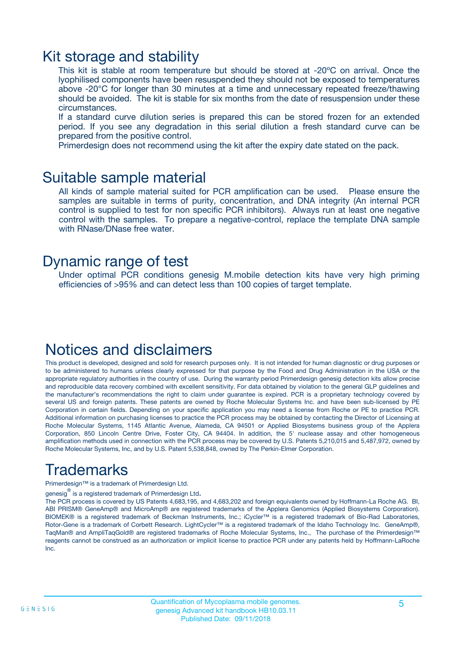### Kit storage and stability

This kit is stable at room temperature but should be stored at -20ºC on arrival. Once the lyophilised components have been resuspended they should not be exposed to temperatures above -20°C for longer than 30 minutes at a time and unnecessary repeated freeze/thawing should be avoided. The kit is stable for six months from the date of resuspension under these circumstances.

If a standard curve dilution series is prepared this can be stored frozen for an extended period. If you see any degradation in this serial dilution a fresh standard curve can be prepared from the positive control.

Primerdesign does not recommend using the kit after the expiry date stated on the pack.

### Suitable sample material

All kinds of sample material suited for PCR amplification can be used. Please ensure the samples are suitable in terms of purity, concentration, and DNA integrity (An internal PCR control is supplied to test for non specific PCR inhibitors). Always run at least one negative control with the samples. To prepare a negative-control, replace the template DNA sample with RNase/DNase free water.

### Dynamic range of test

Under optimal PCR conditions genesig M.mobile detection kits have very high priming efficiencies of >95% and can detect less than 100 copies of target template.

### Notices and disclaimers

This product is developed, designed and sold for research purposes only. It is not intended for human diagnostic or drug purposes or to be administered to humans unless clearly expressed for that purpose by the Food and Drug Administration in the USA or the appropriate regulatory authorities in the country of use. During the warranty period Primerdesign genesig detection kits allow precise and reproducible data recovery combined with excellent sensitivity. For data obtained by violation to the general GLP guidelines and the manufacturer's recommendations the right to claim under guarantee is expired. PCR is a proprietary technology covered by several US and foreign patents. These patents are owned by Roche Molecular Systems Inc. and have been sub-licensed by PE Corporation in certain fields. Depending on your specific application you may need a license from Roche or PE to practice PCR. Additional information on purchasing licenses to practice the PCR process may be obtained by contacting the Director of Licensing at Roche Molecular Systems, 1145 Atlantic Avenue, Alameda, CA 94501 or Applied Biosystems business group of the Applera Corporation, 850 Lincoln Centre Drive, Foster City, CA 94404. In addition, the 5' nuclease assay and other homogeneous amplification methods used in connection with the PCR process may be covered by U.S. Patents 5,210,015 and 5,487,972, owned by Roche Molecular Systems, Inc, and by U.S. Patent 5,538,848, owned by The Perkin-Elmer Corporation.

## Trademarks

Primerdesign™ is a trademark of Primerdesign Ltd.

genesig $^\circledR$  is a registered trademark of Primerdesign Ltd.

The PCR process is covered by US Patents 4,683,195, and 4,683,202 and foreign equivalents owned by Hoffmann-La Roche AG. BI, ABI PRISM® GeneAmp® and MicroAmp® are registered trademarks of the Applera Genomics (Applied Biosystems Corporation). BIOMEK® is a registered trademark of Beckman Instruments, Inc.; iCycler™ is a registered trademark of Bio-Rad Laboratories, Rotor-Gene is a trademark of Corbett Research. LightCycler™ is a registered trademark of the Idaho Technology Inc. GeneAmp®, TaqMan® and AmpliTaqGold® are registered trademarks of Roche Molecular Systems, Inc., The purchase of the Primerdesign™ reagents cannot be construed as an authorization or implicit license to practice PCR under any patents held by Hoffmann-LaRoche Inc.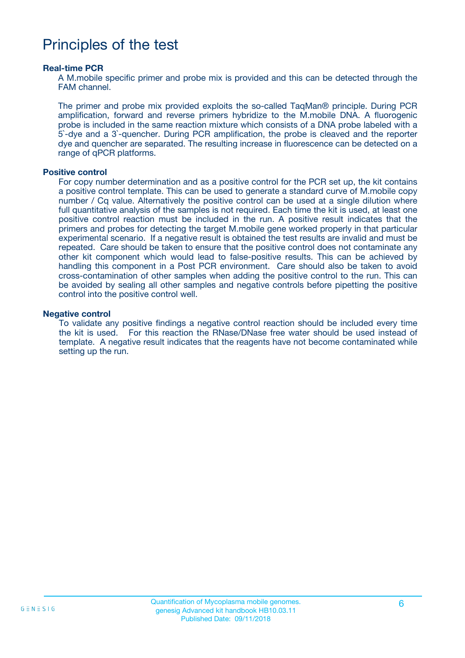### Principles of the test

#### **Real-time PCR**

A M.mobile specific primer and probe mix is provided and this can be detected through the FAM channel.

The primer and probe mix provided exploits the so-called TaqMan® principle. During PCR amplification, forward and reverse primers hybridize to the M.mobile DNA. A fluorogenic probe is included in the same reaction mixture which consists of a DNA probe labeled with a 5`-dye and a 3`-quencher. During PCR amplification, the probe is cleaved and the reporter dye and quencher are separated. The resulting increase in fluorescence can be detected on a range of qPCR platforms.

#### **Positive control**

For copy number determination and as a positive control for the PCR set up, the kit contains a positive control template. This can be used to generate a standard curve of M.mobile copy number / Cq value. Alternatively the positive control can be used at a single dilution where full quantitative analysis of the samples is not required. Each time the kit is used, at least one positive control reaction must be included in the run. A positive result indicates that the primers and probes for detecting the target M.mobile gene worked properly in that particular experimental scenario. If a negative result is obtained the test results are invalid and must be repeated. Care should be taken to ensure that the positive control does not contaminate any other kit component which would lead to false-positive results. This can be achieved by handling this component in a Post PCR environment. Care should also be taken to avoid cross-contamination of other samples when adding the positive control to the run. This can be avoided by sealing all other samples and negative controls before pipetting the positive control into the positive control well.

#### **Negative control**

To validate any positive findings a negative control reaction should be included every time the kit is used. For this reaction the RNase/DNase free water should be used instead of template. A negative result indicates that the reagents have not become contaminated while setting up the run.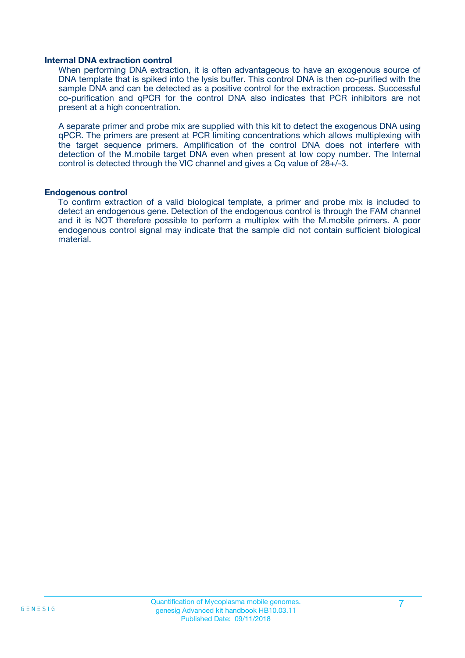#### **Internal DNA extraction control**

When performing DNA extraction, it is often advantageous to have an exogenous source of DNA template that is spiked into the lysis buffer. This control DNA is then co-purified with the sample DNA and can be detected as a positive control for the extraction process. Successful co-purification and qPCR for the control DNA also indicates that PCR inhibitors are not present at a high concentration.

A separate primer and probe mix are supplied with this kit to detect the exogenous DNA using qPCR. The primers are present at PCR limiting concentrations which allows multiplexing with the target sequence primers. Amplification of the control DNA does not interfere with detection of the M.mobile target DNA even when present at low copy number. The Internal control is detected through the VIC channel and gives a Cq value of 28+/-3.

#### **Endogenous control**

To confirm extraction of a valid biological template, a primer and probe mix is included to detect an endogenous gene. Detection of the endogenous control is through the FAM channel and it is NOT therefore possible to perform a multiplex with the M.mobile primers. A poor endogenous control signal may indicate that the sample did not contain sufficient biological material.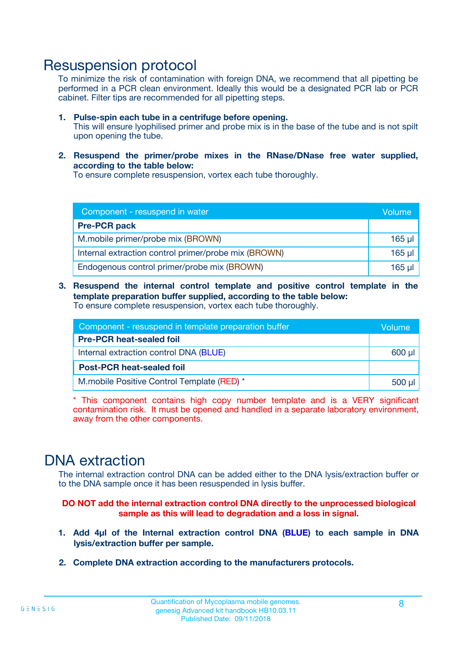### Resuspension protocol

To minimize the risk of contamination with foreign DNA, we recommend that all pipetting be performed in a PCR clean environment. Ideally this would be a designated PCR lab or PCR cabinet. Filter tips are recommended for all pipetting steps.

- **1. Pulse-spin each tube in a centrifuge before opening.** This will ensure lyophilised primer and probe mix is in the base of the tube and is not spilt upon opening the tube.
- **2. Resuspend the primer/probe mixes in the RNase/DNase free water supplied, according to the table below:**

To ensure complete resuspension, vortex each tube thoroughly.

| Component - resuspend in water                       |          |  |
|------------------------------------------------------|----------|--|
| <b>Pre-PCR pack</b>                                  |          |  |
| M.mobile primer/probe mix (BROWN)                    | $165$ µl |  |
| Internal extraction control primer/probe mix (BROWN) | $165$ µl |  |
| Endogenous control primer/probe mix (BROWN)          | 165 µl   |  |

**3. Resuspend the internal control template and positive control template in the template preparation buffer supplied, according to the table below:** To ensure complete resuspension, vortex each tube thoroughly.

| Component - resuspend in template preparation buffer |  |  |  |
|------------------------------------------------------|--|--|--|
| <b>Pre-PCR heat-sealed foil</b>                      |  |  |  |
| Internal extraction control DNA (BLUE)               |  |  |  |
| <b>Post-PCR heat-sealed foil</b>                     |  |  |  |
| M.mobile Positive Control Template (RED) *           |  |  |  |

\* This component contains high copy number template and is a VERY significant contamination risk. It must be opened and handled in a separate laboratory environment, away from the other components.

### DNA extraction

The internal extraction control DNA can be added either to the DNA lysis/extraction buffer or to the DNA sample once it has been resuspended in lysis buffer.

**DO NOT add the internal extraction control DNA directly to the unprocessed biological sample as this will lead to degradation and a loss in signal.**

- **1. Add 4µl of the Internal extraction control DNA (BLUE) to each sample in DNA lysis/extraction buffer per sample.**
- **2. Complete DNA extraction according to the manufacturers protocols.**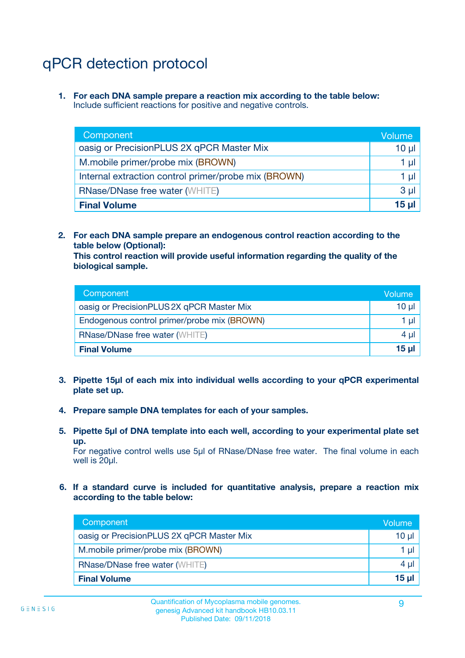# qPCR detection protocol

**1. For each DNA sample prepare a reaction mix according to the table below:** Include sufficient reactions for positive and negative controls.

| Component                                            | Volume       |
|------------------------------------------------------|--------------|
| oasig or PrecisionPLUS 2X qPCR Master Mix            | 10 µ $\vert$ |
| M.mobile primer/probe mix (BROWN)                    | 1 µI         |
| Internal extraction control primer/probe mix (BROWN) | 1 µl         |
| <b>RNase/DNase free water (WHITE)</b>                | $3 \mu$      |
| <b>Final Volume</b>                                  | 15 µl        |

**2. For each DNA sample prepare an endogenous control reaction according to the table below (Optional):**

**This control reaction will provide useful information regarding the quality of the biological sample.**

| Component                                   | Volume   |
|---------------------------------------------|----------|
| oasig or PrecisionPLUS 2X qPCR Master Mix   | $10 \mu$ |
| Endogenous control primer/probe mix (BROWN) | 1 µI     |
| <b>RNase/DNase free water (WHITE)</b>       | $4 \mu$  |
| <b>Final Volume</b>                         | 15 µl    |

- **3. Pipette 15µl of each mix into individual wells according to your qPCR experimental plate set up.**
- **4. Prepare sample DNA templates for each of your samples.**
- **5. Pipette 5µl of DNA template into each well, according to your experimental plate set up.**

For negative control wells use 5µl of RNase/DNase free water. The final volume in each well is 20ul.

**6. If a standard curve is included for quantitative analysis, prepare a reaction mix according to the table below:**

| Component                                 | Volume   |
|-------------------------------------------|----------|
| oasig or PrecisionPLUS 2X qPCR Master Mix | 10 µl    |
| M.mobile primer/probe mix (BROWN)         | 1 µI     |
| <b>RNase/DNase free water (WHITE)</b>     | $4 \mu$  |
| <b>Final Volume</b>                       | $15 \mu$ |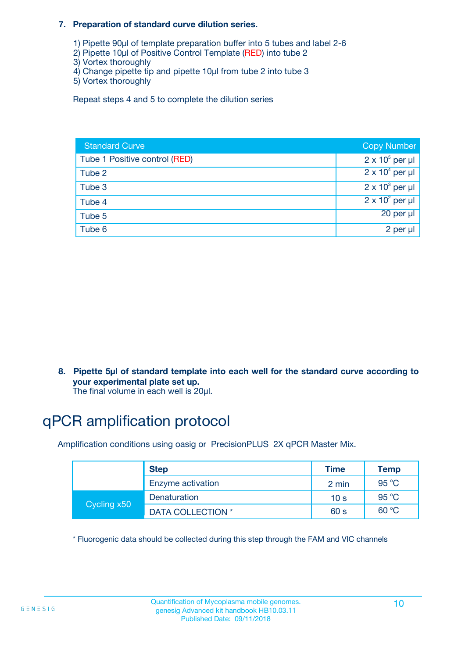#### **7. Preparation of standard curve dilution series.**

- 1) Pipette 90µl of template preparation buffer into 5 tubes and label 2-6
- 2) Pipette 10µl of Positive Control Template (RED) into tube 2
- 3) Vortex thoroughly
- 4) Change pipette tip and pipette 10µl from tube 2 into tube 3
- 5) Vortex thoroughly

Repeat steps 4 and 5 to complete the dilution series

| <b>Standard Curve</b>         | <b>Copy Number</b>     |
|-------------------------------|------------------------|
| Tube 1 Positive control (RED) | $2 \times 10^5$ per µl |
| Tube 2                        | $2 \times 10^4$ per µl |
| Tube 3                        | $2 \times 10^3$ per µl |
| Tube 4                        | $2 \times 10^2$ per µl |
| Tube 5                        | 20 per µl              |
| Tube 6                        | 2 per µl               |

**8. Pipette 5µl of standard template into each well for the standard curve according to your experimental plate set up.**

#### The final volume in each well is 20µl.

## qPCR amplification protocol

Amplification conditions using oasig or PrecisionPLUS 2X qPCR Master Mix.

|             | <b>Step</b>       | <b>Time</b>     | Temp    |
|-------------|-------------------|-----------------|---------|
|             | Enzyme activation | 2 min           | 95 °C   |
| Cycling x50 | Denaturation      | 10 <sub>s</sub> | 95 $°C$ |
|             | DATA COLLECTION * | 60 s            | 60 °C   |

\* Fluorogenic data should be collected during this step through the FAM and VIC channels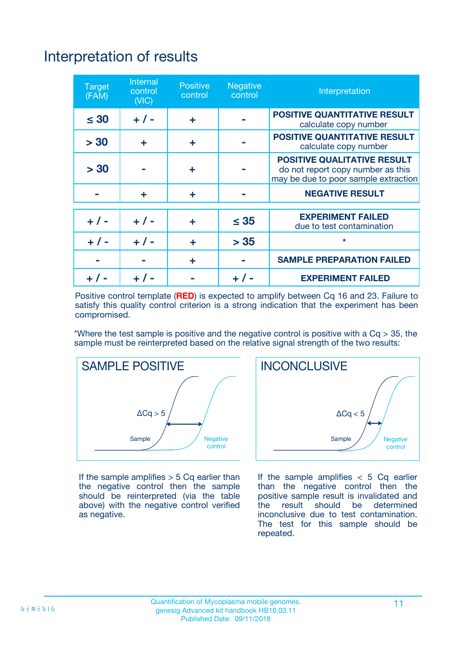# Interpretation of results

| <b>Target</b><br>(FAM) | <b>Internal</b><br>control<br>(NIC) | <b>Positive</b><br>control | <b>Negative</b><br>control | Interpretation                                                                                                  |
|------------------------|-------------------------------------|----------------------------|----------------------------|-----------------------------------------------------------------------------------------------------------------|
| $\leq 30$              | $+ 1 -$                             | ÷                          |                            | <b>POSITIVE QUANTITATIVE RESULT</b><br>calculate copy number                                                    |
| > 30                   | ٠                                   | ÷                          |                            | <b>POSITIVE QUANTITATIVE RESULT</b><br>calculate copy number                                                    |
| > 30                   |                                     | ÷                          |                            | <b>POSITIVE QUALITATIVE RESULT</b><br>do not report copy number as this<br>may be due to poor sample extraction |
|                        | ÷                                   | ÷                          |                            | <b>NEGATIVE RESULT</b>                                                                                          |
| $+ 1 -$                | $+ 1 -$                             | ÷                          | $\leq$ 35                  | <b>EXPERIMENT FAILED</b><br>due to test contamination                                                           |
| $+$ / -                | $+ 1 -$                             | ÷                          | > 35                       | $\star$                                                                                                         |
|                        |                                     | ÷                          |                            | <b>SAMPLE PREPARATION FAILED</b>                                                                                |
|                        |                                     |                            | $+$ /                      | <b>EXPERIMENT FAILED</b>                                                                                        |

Positive control template (**RED**) is expected to amplify between Cq 16 and 23. Failure to satisfy this quality control criterion is a strong indication that the experiment has been compromised.

\*Where the test sample is positive and the negative control is positive with a  $Ca > 35$ , the sample must be reinterpreted based on the relative signal strength of the two results:



If the sample amplifies  $> 5$  Cq earlier than the negative control then the sample should be reinterpreted (via the table above) with the negative control verified as negative.



If the sample amplifies  $< 5$  Cq earlier than the negative control then the positive sample result is invalidated and<br>the result should be determined  $the$  result should be inconclusive due to test contamination. The test for this sample should be repeated.